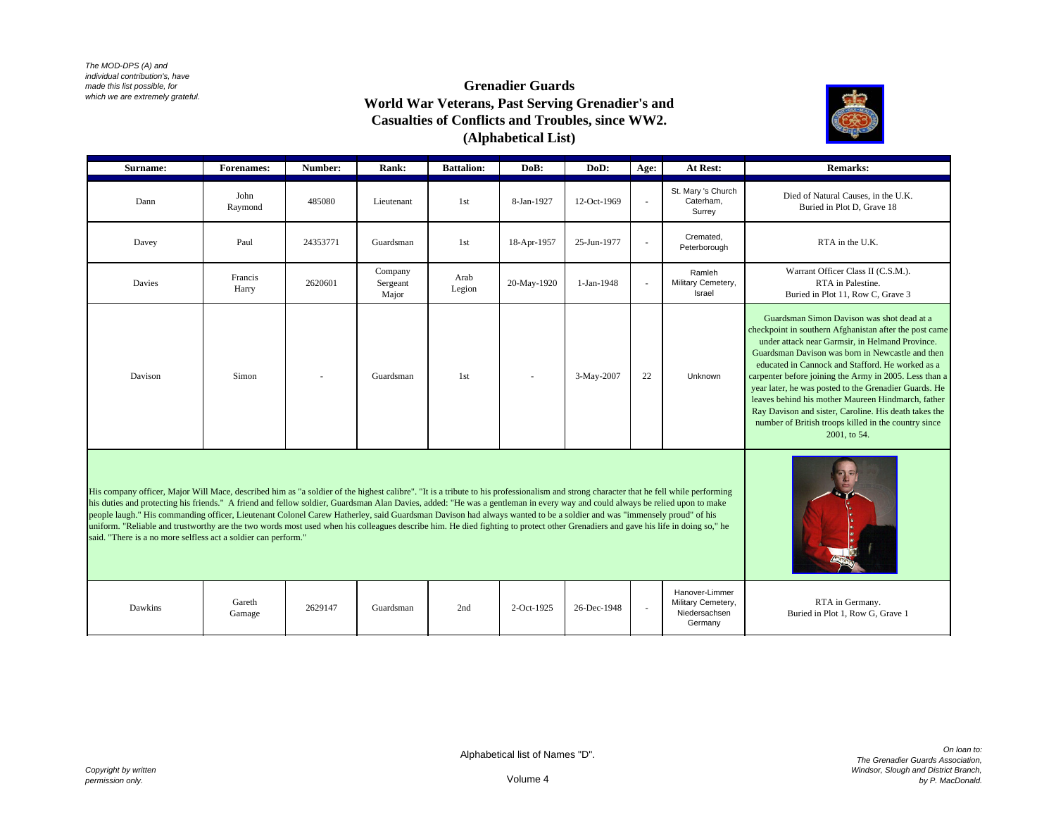*The MOD-DPS (A) and individual contribution's, have made this list possible, for which we are extremely grateful.*

## **Grenadier Guards World War Veterans, Past Serving Grenadier's and Casualties of Conflicts and Troubles, since WW2. (Alphabetical List)**



| Surname: | <b>Forenames:</b> | Number:  | Rank:                        | <b>Battalion:</b> | DoB:        | DoD:        | Age:   | At Rest:                                  | <b>Remarks:</b>                                                                                                                                                                                                                                                                                                                                                                                                                                                                                                                                                           |
|----------|-------------------|----------|------------------------------|-------------------|-------------|-------------|--------|-------------------------------------------|---------------------------------------------------------------------------------------------------------------------------------------------------------------------------------------------------------------------------------------------------------------------------------------------------------------------------------------------------------------------------------------------------------------------------------------------------------------------------------------------------------------------------------------------------------------------------|
| Dann     | John<br>Raymond   | 485080   | Lieutenant                   | 1 <sub>st</sub>   | 8-Jan-1927  | 12-Oct-1969 | $\sim$ | St. Mary 's Church<br>Caterham.<br>Surrey | Died of Natural Causes, in the U.K.<br>Buried in Plot D, Grave 18                                                                                                                                                                                                                                                                                                                                                                                                                                                                                                         |
| Davey    | Paul              | 24353771 | Guardsman                    | 1 <sub>st</sub>   | 18-Apr-1957 | 25-Jun-1977 | $\sim$ | Cremated.<br>Peterborough                 | RTA in the U.K.                                                                                                                                                                                                                                                                                                                                                                                                                                                                                                                                                           |
| Davies   | Francis<br>Harry  | 2620601  | Company<br>Sergeant<br>Major | Arab<br>Legion    | 20-May-1920 | 1-Jan-1948  | $\sim$ | Ramleh<br>Military Cemetery,<br>Israel    | Warrant Officer Class II (C.S.M.).<br>RTA in Palestine.<br>Buried in Plot 11, Row C, Grave 3                                                                                                                                                                                                                                                                                                                                                                                                                                                                              |
| Davison  | Simon             | $\sim$   | Guardsman                    | 1st               | $\sim$      | 3-May-2007  | 22     | Unknown                                   | Guardsman Simon Davison was shot dead at a<br>checkpoint in southern Afghanistan after the post came<br>under attack near Garmsir, in Helmand Province.<br>Guardsman Davison was born in Newcastle and then<br>educated in Cannock and Stafford. He worked as a<br>carpenter before joining the Army in 2005. Less than a<br>year later, he was posted to the Grenadier Guards. He<br>leaves behind his mother Maureen Hindmarch, father<br>Ray Davison and sister, Caroline. His death takes the<br>number of British troops killed in the country since<br>2001, to 54. |

His company officer, Major Will Mace, described him as "a soldier of the highest calibre". "It is a tribute to his professionalism and strong character that he fell while performing his duties and protecting his friends." A friend and fellow soldier, Guardsman Alan Davies, added: "He was a gentleman in every way and could always be relied upon to make people laugh." His commanding officer, Lieutenant Colonel Carew Hatherley, said Guardsman Davison had always wanted to be a soldier and was "immensely proud" of his uniform. "Reliable and trustworthy are the two words most used when his colleagues describe him. He died fighting to protect other Grenadiers and gave his life in doing so," he said. "There is a no more selfless act a soldier can perform."

| Dawkins | Gareth<br>Gamage | 2629147 | Guardsman | 2nd | 2-Oct-1925 | 26-Dec-1948 | Hanover-Limmer<br>Military Cemetery,<br>Niedersachsen<br>Germany | RTA in Germany.<br>Buried in Plot 1, Row G, Grave 1 |
|---------|------------------|---------|-----------|-----|------------|-------------|------------------------------------------------------------------|-----------------------------------------------------|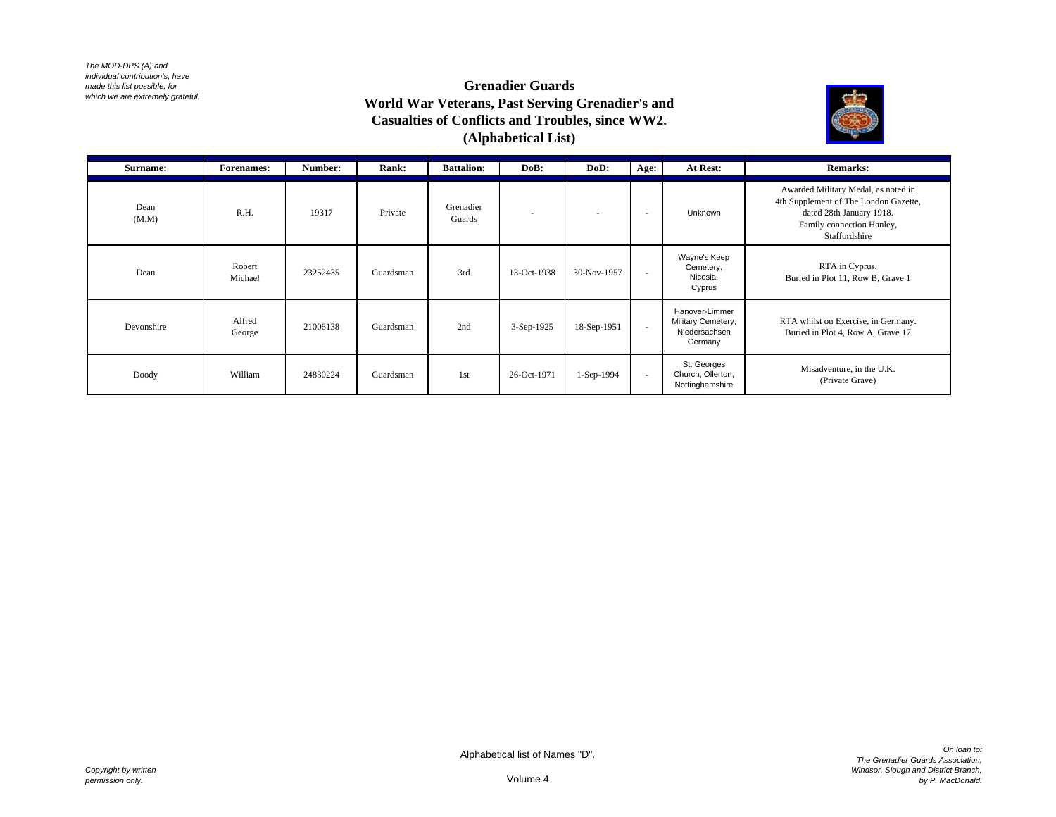*The MOD-DPS (A) and individual contribution's, have made this list possible, for which we are extremely grateful.*

## **Grenadier Guards World War Veterans, Past Serving Grenadier's and Casualties of Conflicts and Troubles, since WW2. (Alphabetical List)**



| Surname:      | <b>Forenames:</b> | Number:  | Rank:     | <b>Battalion:</b>   | DoB:        | DoD:                     | Age:   | At Rest:                                                         | <b>Remarks:</b>                                                                                                                                        |
|---------------|-------------------|----------|-----------|---------------------|-------------|--------------------------|--------|------------------------------------------------------------------|--------------------------------------------------------------------------------------------------------------------------------------------------------|
| Dean<br>(M.M) | R.H.              | 19317    | Private   | Grenadier<br>Guards |             | $\overline{\phantom{a}}$ | $\sim$ | Unknown                                                          | Awarded Military Medal, as noted in<br>4th Supplement of The London Gazette,<br>dated 28th January 1918.<br>Family connection Hanley,<br>Staffordshire |
| Dean          | Robert<br>Michael | 23252435 | Guardsman | 3rd                 | 13-Oct-1938 | 30-Nov-1957              | $\sim$ | Wayne's Keep<br>Cemetery,<br>Nicosia,<br>Cyprus                  | RTA in Cyprus.<br>Buried in Plot 11, Row B, Grave 1                                                                                                    |
| Devonshire    | Alfred<br>George  | 21006138 | Guardsman | 2nd                 | 3-Sep-1925  | 18-Sep-1951              | $\sim$ | Hanover-Limmer<br>Military Cemetery,<br>Niedersachsen<br>Germany | RTA whilst on Exercise, in Germany.<br>Buried in Plot 4, Row A, Grave 17                                                                               |
| Doody         | William           | 24830224 | Guardsman | 1 <sub>st</sub>     | 26-Oct-1971 | 1-Sep-1994               | $\sim$ | St. Georges<br>Church, Ollerton,<br>Nottinghamshire              | Misadventure, in the U.K.<br>(Private Grave)                                                                                                           |

Volume 4